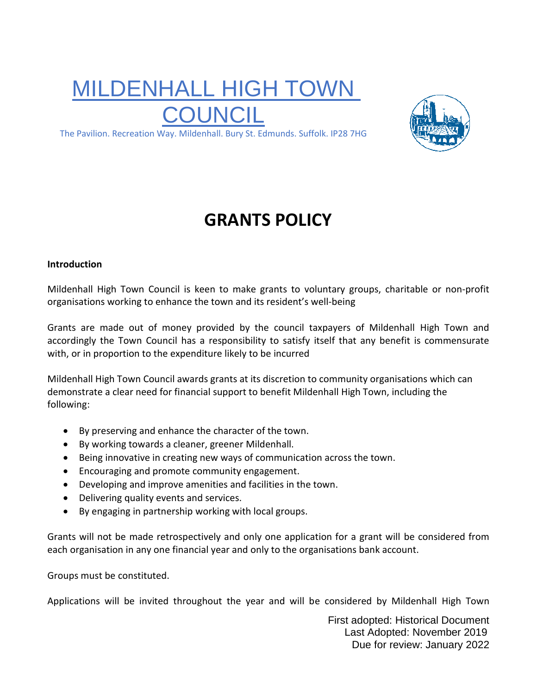# MILDENHALL HIGH TOWN COUNCIL



The Pavilion. Recreation Way. Mildenhall. Bury St. Edmunds. Suffolk. IP28 7HG

# **GRANTS POLICY**

#### **Introduction**

Mildenhall High Town Council is keen to make grants to voluntary groups, charitable or non-profit organisations working to enhance the town and its resident's well-being

Grants are made out of money provided by the council taxpayers of Mildenhall High Town and accordingly the Town Council has a responsibility to satisfy itself that any benefit is commensurate with, or in proportion to the expenditure likely to be incurred

Mildenhall High Town Council awards grants at its discretion to community organisations which can demonstrate a clear need for financial support to benefit Mildenhall High Town, including the following:

- By preserving and enhance the character of the town.
- By working towards a cleaner, greener Mildenhall.
- Being innovative in creating new ways of communication across the town.
- Encouraging and promote community engagement.
- Developing and improve amenities and facilities in the town.
- Delivering quality events and services.
- By engaging in partnership working with local groups.

Grants will not be made retrospectively and only one application for a grant will be considered from each organisation in any one financial year and only to the organisations bank account.

Groups must be constituted.

Applications will be invited throughout the year and will be considered by Mildenhall High Town

First adopted: Historical Document Last Adopted: November 2019 Due for review: January 2022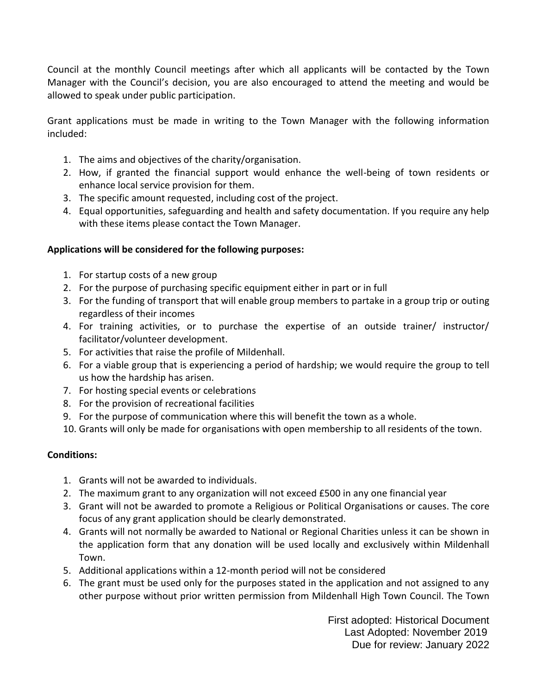Council at the monthly Council meetings after which all applicants will be contacted by the Town Manager with the Council's decision, you are also encouraged to attend the meeting and would be allowed to speak under public participation.

Grant applications must be made in writing to the Town Manager with the following information included:

- 1. The aims and objectives of the charity/organisation.
- 2. How, if granted the financial support would enhance the well-being of town residents or enhance local service provision for them.
- 3. The specific amount requested, including cost of the project.
- 4. Equal opportunities, safeguarding and health and safety documentation. If you require any help with these items please contact the Town Manager.

## **Applications will be considered for the following purposes:**

- 1. For startup costs of a new group
- 2. For the purpose of purchasing specific equipment either in part or in full
- 3. For the funding of transport that will enable group members to partake in a group trip or outing regardless of their incomes
- 4. For training activities, or to purchase the expertise of an outside trainer/ instructor/ facilitator/volunteer development.
- 5. For activities that raise the profile of Mildenhall.
- 6. For a viable group that is experiencing a period of hardship; we would require the group to tell us how the hardship has arisen.
- 7. For hosting special events or celebrations
- 8. For the provision of recreational facilities
- 9. For the purpose of communication where this will benefit the town as a whole.
- 10. Grants will only be made for organisations with open membership to all residents of the town.

## **Conditions:**

- 1. Grants will not be awarded to individuals.
- 2. The maximum grant to any organization will not exceed £500 in any one financial year
- 3. Grant will not be awarded to promote a Religious or Political Organisations or causes. The core focus of any grant application should be clearly demonstrated.
- 4. Grants will not normally be awarded to National or Regional Charities unless it can be shown in the application form that any donation will be used locally and exclusively within Mildenhall Town.
- 5. Additional applications within a 12-month period will not be considered
- 6. The grant must be used only for the purposes stated in the application and not assigned to any other purpose without prior written permission from Mildenhall High Town Council. The Town

First adopted: Historical Document Last Adopted: November 2019 Due for review: January 2022